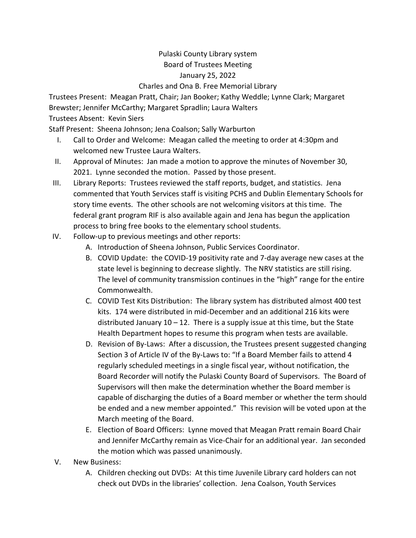## Pulaski County Library system Board of Trustees Meeting January 25, 2022 Charles and Ona B. Free Memorial Library

Trustees Present: Meagan Pratt, Chair; Jan Booker; Kathy Weddle; Lynne Clark; Margaret Brewster; Jennifer McCarthy; Margaret Spradlin; Laura Walters

## Trustees Absent: Kevin Siers

Staff Present: Sheena Johnson; Jena Coalson; Sally Warburton

- I. Call to Order and Welcome: Meagan called the meeting to order at 4:30pm and welcomed new Trustee Laura Walters.
- II. Approval of Minutes: Jan made a motion to approve the minutes of November 30, 2021. Lynne seconded the motion. Passed by those present.
- III. Library Reports: Trustees reviewed the staff reports, budget, and statistics. Jena commented that Youth Services staff is visiting PCHS and Dublin Elementary Schools for story time events. The other schools are not welcoming visitors at this time. The federal grant program RIF is also available again and Jena has begun the application process to bring free books to the elementary school students.
- IV. Follow-up to previous meetings and other reports:
	- A. Introduction of Sheena Johnson, Public Services Coordinator.
	- B. COVID Update: the COVID-19 positivity rate and 7-day average new cases at the state level is beginning to decrease slightly. The NRV statistics are still rising. The level of community transmission continues in the "high" range for the entire Commonwealth.
	- C. COVID Test Kits Distribution: The library system has distributed almost 400 test kits. 174 were distributed in mid-December and an additional 216 kits were distributed January  $10 - 12$ . There is a supply issue at this time, but the State Health Department hopes to resume this program when tests are available.
	- D. Revision of By-Laws: After a discussion, the Trustees present suggested changing Section 3 of Article IV of the By-Laws to: "If a Board Member fails to attend 4 regularly scheduled meetings in a single fiscal year, without notification, the Board Recorder will notify the Pulaski County Board of Supervisors. The Board of Supervisors will then make the determination whether the Board member is capable of discharging the duties of a Board member or whether the term should be ended and a new member appointed." This revision will be voted upon at the March meeting of the Board.
	- E. Election of Board Officers: Lynne moved that Meagan Pratt remain Board Chair and Jennifer McCarthy remain as Vice-Chair for an additional year. Jan seconded the motion which was passed unanimously.
- V. New Business:
	- A. Children checking out DVDs: At this time Juvenile Library card holders can not check out DVDs in the libraries' collection. Jena Coalson, Youth Services